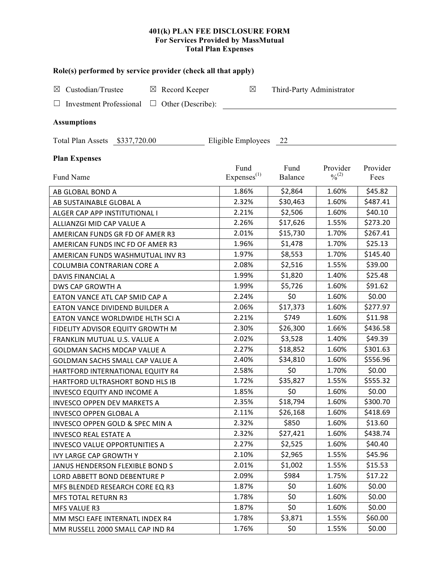#### **401(k) PLAN FEE DISCLOSURE FORM For Services Provided by MassMutual Total Plan Expenses**

| Role(s) performed by service provider (check all that apply)       |                                 |                           |                                          |                  |  |  |
|--------------------------------------------------------------------|---------------------------------|---------------------------|------------------------------------------|------------------|--|--|
| Custodian/Trustee<br>$\boxtimes$ Record Keeper<br>$\boxtimes$      | $\boxtimes$                     | Third-Party Administrator |                                          |                  |  |  |
| Other (Describe):<br><b>Investment Professional</b><br>ப<br>$\Box$ |                                 |                           |                                          |                  |  |  |
| <b>Assumptions</b>                                                 |                                 |                           |                                          |                  |  |  |
| Total Plan Assets \$337,720.00                                     | Eligible Employees 22           |                           |                                          |                  |  |  |
| <b>Plan Expenses</b>                                               |                                 |                           |                                          |                  |  |  |
| Fund Name                                                          | Fund<br>Expenses <sup>(1)</sup> | Fund<br>Balance           | Provider<br>$\frac{0}{2}$ <sup>(2)</sup> | Provider<br>Fees |  |  |
| AB GLOBAL BOND A                                                   | 1.86%                           | \$2,864                   | 1.60%                                    | \$45.82          |  |  |
| AB SUSTAINABLE GLOBAL A                                            | 2.32%                           | \$30,463                  | 1.60%                                    | \$487.41         |  |  |
| ALGER CAP APP INSTITUTIONAL I                                      | 2.21%                           | \$2,506                   | 1.60%                                    | \$40.10          |  |  |
| ALLIANZGI MID CAP VALUE A                                          | 2.26%                           | \$17,626                  | 1.55%                                    | \$273.20         |  |  |
| AMERICAN FUNDS GR FD OF AMER R3                                    | 2.01%                           | \$15,730                  | 1.70%                                    | \$267.41         |  |  |
| AMERICAN FUNDS INC FD OF AMER R3                                   | 1.96%                           | \$1,478                   | 1.70%                                    | \$25.13          |  |  |
| AMERICAN FUNDS WASHMUTUAL INV R3                                   | 1.97%                           | \$8,553                   | 1.70%                                    | \$145.40         |  |  |
| COLUMBIA CONTRARIAN CORE A                                         | 2.08%                           | \$2,516                   | 1.55%                                    | \$39.00          |  |  |
| DAVIS FINANCIAL A                                                  | 1.99%                           | \$1,820                   | 1.40%                                    | \$25.48          |  |  |
| DWS CAP GROWTH A                                                   | 1.99%                           | \$5,726                   | 1.60%                                    | \$91.62          |  |  |
| EATON VANCE ATL CAP SMID CAP A                                     | 2.24%                           | \$0                       | 1.60%                                    | \$0.00           |  |  |
| EATON VANCE DIVIDEND BUILDER A                                     | 2.06%                           | \$17,373                  | 1.60%                                    | \$277.97         |  |  |
| EATON VANCE WORLDWIDE HLTH SCI A                                   | 2.21%                           | \$749                     | 1.60%                                    | \$11.98          |  |  |
| FIDELITY ADVISOR EQUITY GROWTH M                                   | 2.30%                           | \$26,300                  | 1.66%                                    | \$436.58         |  |  |
| FRANKLIN MUTUAL U.S. VALUE A                                       | 2.02%                           | \$3,528                   | 1.40%                                    | \$49.39          |  |  |
| GOLDMAN SACHS MDCAP VALUE A                                        | 2.27%                           | \$18,852                  | 1.60%                                    | \$301.63         |  |  |
| GOLDMAN SACHS SMALL CAP VALUE A                                    | 2.40%                           | \$34,810                  | 1.60%                                    | \$556.96         |  |  |
| HARTFORD INTERNATIONAL EQUITY R4                                   | 2.58%                           | \$0                       | 1.70%                                    | \$0.00           |  |  |
| HARTFORD ULTRASHORT BOND HLS IB                                    | 1.72%                           | \$35,827                  | 1.55%                                    | \$555.32         |  |  |
| <b>INVESCO EQUITY AND INCOME A</b>                                 | 1.85%                           | \$0                       | 1.60%                                    | \$0.00           |  |  |
| <b>INVESCO OPPEN DEV MARKETS A</b>                                 | 2.35%                           | \$18,794                  | 1.60%                                    | \$300.70         |  |  |
| <b>INVESCO OPPEN GLOBAL A</b>                                      | 2.11%                           | \$26,168                  | 1.60%                                    | \$418.69         |  |  |
| INVESCO OPPEN GOLD & SPEC MIN A                                    | 2.32%                           | \$850                     | 1.60%                                    | \$13.60          |  |  |
| <b>INVESCO REAL ESTATE A</b>                                       | 2.32%                           | \$27,421                  | 1.60%                                    | \$438.74         |  |  |
| <b>INVESCO VALUE OPPORTUNITIES A</b>                               | 2.27%                           | \$2,525                   | 1.60%                                    | \$40.40          |  |  |
| <b>IVY LARGE CAP GROWTH Y</b>                                      | 2.10%                           | \$2,965                   | 1.55%                                    | \$45.96          |  |  |
| JANUS HENDERSON FLEXIBLE BOND S                                    | 2.01%                           | \$1,002                   | 1.55%                                    | \$15.53          |  |  |
| LORD ABBETT BOND DEBENTURE P                                       | 2.09%                           | \$984                     | 1.75%                                    | \$17.22          |  |  |
| MFS BLENDED RESEARCH CORE EQ R3                                    | 1.87%                           | \$0                       | 1.60%                                    | \$0.00           |  |  |
| <b>MFS TOTAL RETURN R3</b>                                         | 1.78%                           | \$0                       | 1.60%                                    | \$0.00           |  |  |
| MFS VALUE R3                                                       | 1.87%                           | \$0                       | 1.60%                                    | \$0.00           |  |  |
| MM MSCI EAFE INTERNATL INDEX R4                                    | 1.78%                           | \$3,871                   | 1.55%                                    | \$60.00          |  |  |

MM RUSSELL 2000 SMALL CAP IND R4 1.76% \$0 \$0 1.55% \$0.00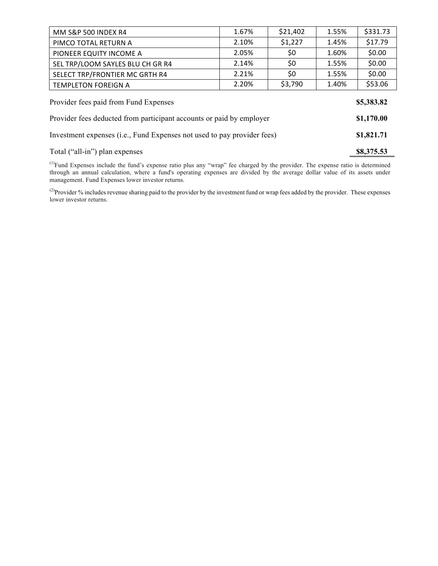| MM S&P 500 INDEX R4                                                     | 1.67% | \$21,402 | 1.55% | \$331.73   |
|-------------------------------------------------------------------------|-------|----------|-------|------------|
| PIMCO TOTAL RETURN A                                                    | 2.10% | \$1,227  | 1.45% | \$17.79    |
| PIONEER EQUITY INCOME A                                                 | 2.05% | \$0      | 1.60% | \$0.00     |
| SEL TRP/LOOM SAYLES BLU CH GR R4                                        | 2.14% | \$0      | 1.55% | \$0.00     |
| SELECT TRP/FRONTIER MC GRTH R4                                          | 2.21% | \$0      | 1.55% | \$0.00     |
| <b>TEMPLETON FOREIGN A</b>                                              | 2.20% | \$3,790  | 1.40% | \$53.06    |
| Provider fees paid from Fund Expenses<br>\$5,383.82                     |       |          |       |            |
| Provider fees deducted from participant accounts or paid by employer    |       |          |       | \$1,170.00 |
| Investment expenses (i.e., Fund Expenses not used to pay provider fees) |       |          |       | \$1,821.71 |
| Total ("all-in") plan expenses                                          |       |          |       | \$8,375.53 |

 $<sup>(1)</sup>$ Fund Expenses include the fund's expense ratio plus any "wrap" fee charged by the provider. The expense ratio is determined</sup> through an annual calculation, where a fund's operating expenses are divided by the average dollar value of its assets under management. Fund Expenses lower investor returns.

<sup>(2)</sup>Provider % includes revenue sharing paid to the provider by the investment fund or wrap fees added by the provider. These expenses lower investor returns.